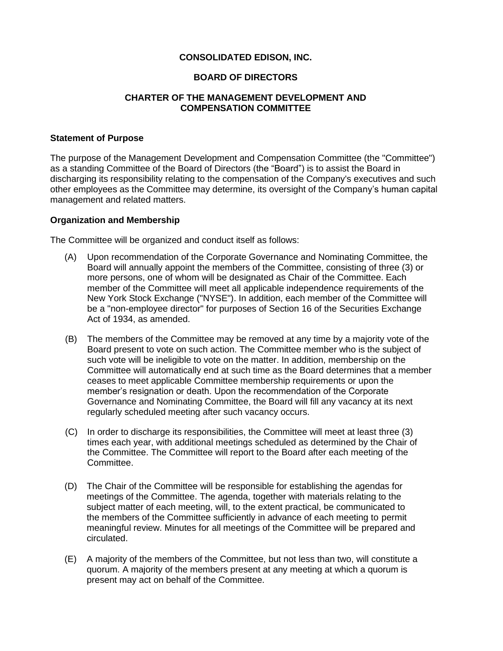### **CONSOLIDATED EDISON, INC.**

# **BOARD OF DIRECTORS**

# **CHARTER OF THE MANAGEMENT DEVELOPMENT AND COMPENSATION COMMITTEE**

#### **Statement of Purpose**

The purpose of the Management Development and Compensation Committee (the "Committee") as a standing Committee of the Board of Directors (the "Board") is to assist the Board in discharging its responsibility relating to the compensation of the Company's executives and such other employees as the Committee may determine, its oversight of the Company's human capital management and related matters.

#### **Organization and Membership**

The Committee will be organized and conduct itself as follows:

- (A) Upon recommendation of the Corporate Governance and Nominating Committee, the Board will annually appoint the members of the Committee, consisting of three (3) or more persons, one of whom will be designated as Chair of the Committee. Each member of the Committee will meet all applicable independence requirements of the New York Stock Exchange ("NYSE"). In addition, each member of the Committee will be a "non-employee director" for purposes of Section 16 of the Securities Exchange Act of 1934, as amended.
- (B) The members of the Committee may be removed at any time by a majority vote of the Board present to vote on such action. The Committee member who is the subject of such vote will be ineligible to vote on the matter. In addition, membership on the Committee will automatically end at such time as the Board determines that a member ceases to meet applicable Committee membership requirements or upon the member's resignation or death. Upon the recommendation of the Corporate Governance and Nominating Committee, the Board will fill any vacancy at its next regularly scheduled meeting after such vacancy occurs.
- (C) In order to discharge its responsibilities, the Committee will meet at least three (3) times each year, with additional meetings scheduled as determined by the Chair of the Committee. The Committee will report to the Board after each meeting of the Committee.
- (D) The Chair of the Committee will be responsible for establishing the agendas for meetings of the Committee. The agenda, together with materials relating to the subject matter of each meeting, will, to the extent practical, be communicated to the members of the Committee sufficiently in advance of each meeting to permit meaningful review. Minutes for all meetings of the Committee will be prepared and circulated.
- (E) A majority of the members of the Committee, but not less than two, will constitute a quorum. A majority of the members present at any meeting at which a quorum is present may act on behalf of the Committee.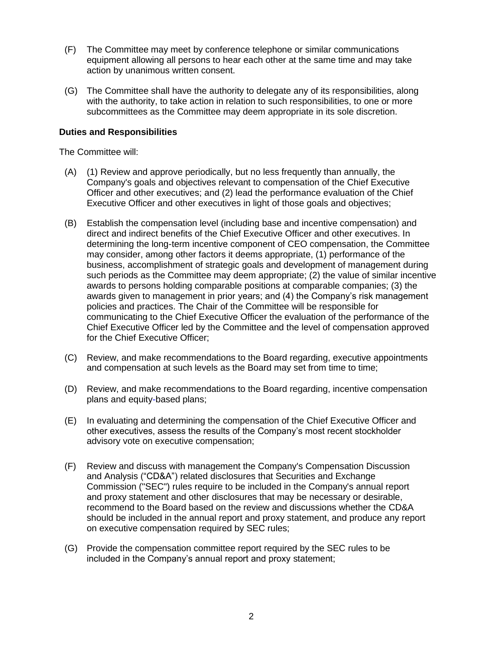- (F) The Committee may meet by conference telephone or similar communications equipment allowing all persons to hear each other at the same time and may take action by unanimous written consent.
- (G) The Committee shall have the authority to delegate any of its responsibilities, along with the authority, to take action in relation to such responsibilities, to one or more subcommittees as the Committee may deem appropriate in its sole discretion.

# **Duties and Responsibilities**

The Committee will:

- (A) (1) Review and approve periodically, but no less frequently than annually, the Company's goals and objectives relevant to compensation of the Chief Executive Officer and other executives; and (2) lead the performance evaluation of the Chief Executive Officer and other executives in light of those goals and objectives;
- (B) Establish the compensation level (including base and incentive compensation) and direct and indirect benefits of the Chief Executive Officer and other executives. In determining the long-term incentive component of CEO compensation, the Committee may consider, among other factors it deems appropriate, (1) performance of the business, accomplishment of strategic goals and development of management during such periods as the Committee may deem appropriate; (2) the value of similar incentive awards to persons holding comparable positions at comparable companies; (3) the awards given to management in prior years; and (4) the Company's risk management policies and practices. The Chair of the Committee will be responsible for communicating to the Chief Executive Officer the evaluation of the performance of the Chief Executive Officer led by the Committee and the level of compensation approved for the Chief Executive Officer;
- (C) Review, and make recommendations to the Board regarding, executive appointments and compensation at such levels as the Board may set from time to time;
- (D) Review, and make recommendations to the Board regarding, incentive compensation plans and equity-based plans;
- (E) In evaluating and determining the compensation of the Chief Executive Officer and other executives, assess the results of the Company's most recent stockholder advisory vote on executive compensation;
- (F) Review and discuss with management the Company's Compensation Discussion and Analysis ("CD&A") related disclosures that Securities and Exchange Commission ("SEC") rules require to be included in the Company's annual report and proxy statement and other disclosures that may be necessary or desirable, recommend to the Board based on the review and discussions whether the CD&A should be included in the annual report and proxy statement, and produce any report on executive compensation required by SEC rules;
- (G) Provide the compensation committee report required by the SEC rules to be included in the Company's annual report and proxy statement;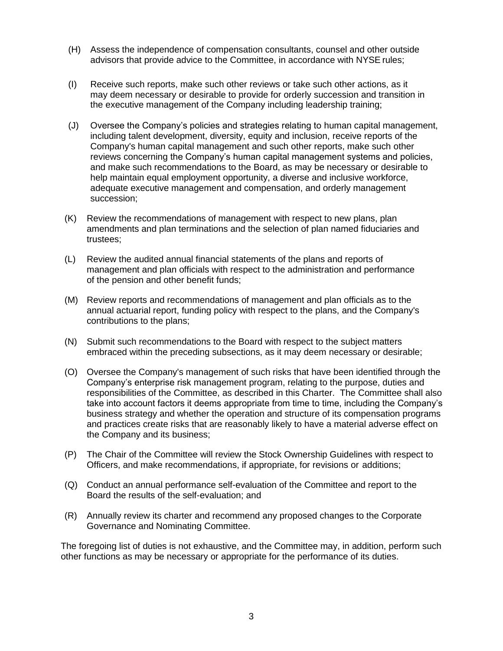- (H) Assess the independence of compensation consultants, counsel and other outside advisors that provide advice to the Committee, in accordance with NYSE rules;
- (I) Receive such reports, make such other reviews or take such other actions, as it may deem necessary or desirable to provide for orderly succession and transition in the executive management of the Company including leadership training;
- (J) Oversee the Company's policies and strategies relating to human capital management, including talent development, diversity, equity and inclusion, receive reports of the Company's human capital management and such other reports, make such other reviews concerning the Company's human capital management systems and policies, and make such recommendations to the Board, as may be necessary or desirable to help maintain equal employment opportunity, a diverse and inclusive workforce, adequate executive management and compensation, and orderly management succession;
- (K) Review the recommendations of management with respect to new plans, plan amendments and plan terminations and the selection of plan named fiduciaries and trustees;
- (L) Review the audited annual financial statements of the plans and reports of management and plan officials with respect to the administration and performance of the pension and other benefit funds;
- (M) Review reports and recommendations of management and plan officials as to the annual actuarial report, funding policy with respect to the plans, and the Company's contributions to the plans;
- (N) Submit such recommendations to the Board with respect to the subject matters embraced within the preceding subsections, as it may deem necessary or desirable;
- (O) Oversee the Company's management of such risks that have been identified through the Company's enterprise risk management program, relating to the purpose, duties and responsibilities of the Committee, as described in this Charter. The Committee shall also take into account factors it deems appropriate from time to time, including the Company's business strategy and whether the operation and structure of its compensation programs and practices create risks that are reasonably likely to have a material adverse effect on the Company and its business;
- (P) The Chair of the Committee will review the Stock Ownership Guidelines with respect to Officers, and make recommendations, if appropriate, for revisions or additions;
- (Q) Conduct an annual performance self-evaluation of the Committee and report to the Board the results of the self-evaluation; and
- (R) Annually review its charter and recommend any proposed changes to the Corporate Governance and Nominating Committee.

The foregoing list of duties is not exhaustive, and the Committee may, in addition, perform such other functions as may be necessary or appropriate for the performance of its duties.